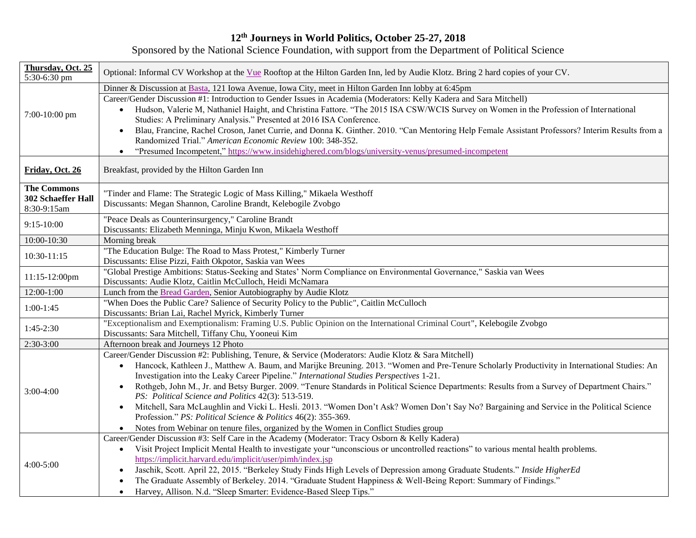## **12 th Journeys in World Politics, October 25-27, 2018**

Sponsored by the National Science Foundation, with support from the Department of Political Science

| Thursday, Oct. 25<br>5:30-6:30 pm        | Optional: Informal CV Workshop at the Vue Rooftop at the Hilton Garden Inn, led by Audie Klotz. Bring 2 hard copies of your CV.                                                                                                                                                                                                                                                                                                                                                                                                                                                                                                                                                                                                                                                                                                                                                         |
|------------------------------------------|-----------------------------------------------------------------------------------------------------------------------------------------------------------------------------------------------------------------------------------------------------------------------------------------------------------------------------------------------------------------------------------------------------------------------------------------------------------------------------------------------------------------------------------------------------------------------------------------------------------------------------------------------------------------------------------------------------------------------------------------------------------------------------------------------------------------------------------------------------------------------------------------|
|                                          | Dinner & Discussion at Basta, 121 Iowa Avenue, Iowa City, meet in Hilton Garden Inn lobby at 6:45pm                                                                                                                                                                                                                                                                                                                                                                                                                                                                                                                                                                                                                                                                                                                                                                                     |
| 7:00-10:00 pm                            | Career/Gender Discussion #1: Introduction to Gender Issues in Academia (Moderators: Kelly Kadera and Sara Mitchell)<br>Hudson, Valerie M, Nathaniel Haight, and Christina Fattore. "The 2015 ISA CSW/WCIS Survey on Women in the Profession of International<br>Studies: A Preliminary Analysis." Presented at 2016 ISA Conference.<br>Blau, Francine, Rachel Croson, Janet Currie, and Donna K. Ginther. 2010. "Can Mentoring Help Female Assistant Professors? Interim Results from a<br>$\bullet$<br>Randomized Trial." American Economic Review 100: 348-352.<br>"Presumed Incompetent," https://www.insidehighered.com/blogs/university-venus/presumed-incompetent<br>$\bullet$                                                                                                                                                                                                    |
| Friday, Oct. 26                          | Breakfast, provided by the Hilton Garden Inn                                                                                                                                                                                                                                                                                                                                                                                                                                                                                                                                                                                                                                                                                                                                                                                                                                            |
| <b>The Commons</b><br>302 Schaeffer Hall | "Tinder and Flame: The Strategic Logic of Mass Killing," Mikaela Westhoff                                                                                                                                                                                                                                                                                                                                                                                                                                                                                                                                                                                                                                                                                                                                                                                                               |
| 8:30-9:15am                              | Discussants: Megan Shannon, Caroline Brandt, Kelebogile Zvobgo                                                                                                                                                                                                                                                                                                                                                                                                                                                                                                                                                                                                                                                                                                                                                                                                                          |
| 9:15-10:00                               | "Peace Deals as Counterinsurgency," Caroline Brandt<br>Discussants: Elizabeth Menninga, Minju Kwon, Mikaela Westhoff                                                                                                                                                                                                                                                                                                                                                                                                                                                                                                                                                                                                                                                                                                                                                                    |
| 10:00-10:30                              | Morning break                                                                                                                                                                                                                                                                                                                                                                                                                                                                                                                                                                                                                                                                                                                                                                                                                                                                           |
| 10:30-11:15                              | "The Education Bulge: The Road to Mass Protest," Kimberly Turner<br>Discussants: Elise Pizzi, Faith Okpotor, Saskia van Wees                                                                                                                                                                                                                                                                                                                                                                                                                                                                                                                                                                                                                                                                                                                                                            |
| $11:15-12:00$ pm                         | "Global Prestige Ambitions: Status-Seeking and States' Norm Compliance on Environmental Governance," Saskia van Wees<br>Discussants: Audie Klotz, Caitlin McCulloch, Heidi McNamara                                                                                                                                                                                                                                                                                                                                                                                                                                                                                                                                                                                                                                                                                                     |
| $12:00-1:00$                             | Lunch from the Bread Garden, Senior Autobiography by Audie Klotz                                                                                                                                                                                                                                                                                                                                                                                                                                                                                                                                                                                                                                                                                                                                                                                                                        |
| $1:00-1:45$                              | "When Does the Public Care? Salience of Security Policy to the Public", Caitlin McCulloch<br>Discussants: Brian Lai, Rachel Myrick, Kimberly Turner                                                                                                                                                                                                                                                                                                                                                                                                                                                                                                                                                                                                                                                                                                                                     |
| 1:45-2:30                                | "Exceptionalism and Exemptionalism: Framing U.S. Public Opinion on the International Criminal Court", Kelebogile Zvobgo<br>Discussants: Sara Mitchell, Tiffany Chu, Yooneui Kim                                                                                                                                                                                                                                                                                                                                                                                                                                                                                                                                                                                                                                                                                                         |
| $2:30-3:00$                              | Afternoon break and Journeys 12 Photo                                                                                                                                                                                                                                                                                                                                                                                                                                                                                                                                                                                                                                                                                                                                                                                                                                                   |
| $3:00-4:00$                              | Career/Gender Discussion #2: Publishing, Tenure, & Service (Moderators: Audie Klotz & Sara Mitchell)<br>Hancock, Kathleen J., Matthew A. Baum, and Marijke Breuning. 2013. "Women and Pre-Tenure Scholarly Productivity in International Studies: An<br>$\bullet$<br>Investigation into the Leaky Career Pipeline." International Studies Perspectives 1-21.<br>Rothgeb, John M., Jr. and Betsy Burger. 2009. "Tenure Standards in Political Science Departments: Results from a Survey of Department Chairs."<br>PS: Political Science and Politics 42(3): 513-519.<br>Mitchell, Sara McLaughlin and Vicki L. Hesli. 2013. "Women Don't Ask? Women Don't Say No? Bargaining and Service in the Political Science<br>$\bullet$<br>Profession." PS: Political Science & Politics 46(2): 355-369.<br>Notes from Webinar on tenure files, organized by the Women in Conflict Studies group |
| $4:00-5:00$                              | Career/Gender Discussion #3: Self Care in the Academy (Moderator: Tracy Osborn & Kelly Kadera)<br>Visit Project Implicit Mental Health to investigate your "unconscious or uncontrolled reactions" to various mental health problems.<br>$\bullet$<br>https://implicit.harvard.edu/implicit/user/pimh/index.jsp<br>Jaschik, Scott. April 22, 2015. "Berkeley Study Finds High Levels of Depression among Graduate Students." Inside HigherEd<br>$\bullet$<br>The Graduate Assembly of Berkeley. 2014. "Graduate Student Happiness & Well-Being Report: Summary of Findings."<br>$\bullet$<br>Harvey, Allison. N.d. "Sleep Smarter: Evidence-Based Sleep Tips."                                                                                                                                                                                                                          |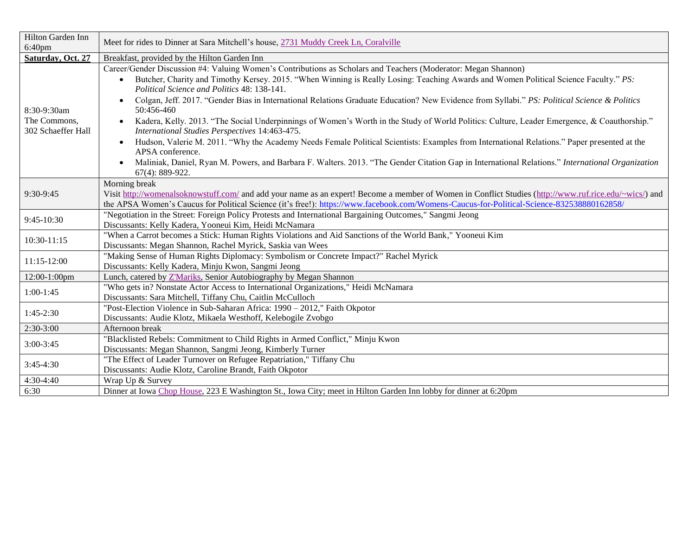| Hilton Garden Inn<br>$6:40$ pm                    | Meet for rides to Dinner at Sara Mitchell's house, 2731 Muddy Creek Ln, Coralville                                                                                                                                                                                                                                                                                                                                                                                                                                                                                                                                                                                                                                                                                                                                                                                                                                                                                                                                                                    |
|---------------------------------------------------|-------------------------------------------------------------------------------------------------------------------------------------------------------------------------------------------------------------------------------------------------------------------------------------------------------------------------------------------------------------------------------------------------------------------------------------------------------------------------------------------------------------------------------------------------------------------------------------------------------------------------------------------------------------------------------------------------------------------------------------------------------------------------------------------------------------------------------------------------------------------------------------------------------------------------------------------------------------------------------------------------------------------------------------------------------|
| Saturday, Oct. 27                                 | Breakfast, provided by the Hilton Garden Inn                                                                                                                                                                                                                                                                                                                                                                                                                                                                                                                                                                                                                                                                                                                                                                                                                                                                                                                                                                                                          |
| 8:30-9:30am<br>The Commons,<br>302 Schaeffer Hall | Career/Gender Discussion #4: Valuing Women's Contributions as Scholars and Teachers (Moderator: Megan Shannon)<br>Butcher, Charity and Timothy Kersey. 2015. "When Winning is Really Losing: Teaching Awards and Women Political Science Faculty." PS:<br>Political Science and Politics 48: 138-141.<br>Colgan, Jeff. 2017. "Gender Bias in International Relations Graduate Education? New Evidence from Syllabi." PS: Political Science & Politics<br>$\bullet$<br>50:456-460<br>Kadera, Kelly. 2013. "The Social Underpinnings of Women's Worth in the Study of World Politics: Culture, Leader Emergence, & Coauthorship."<br>$\bullet$<br>International Studies Perspectives 14:463-475.<br>Hudson, Valerie M. 2011. "Why the Academy Needs Female Political Scientists: Examples from International Relations." Paper presented at the<br>$\bullet$<br>APSA conference.<br>Maliniak, Daniel, Ryan M. Powers, and Barbara F. Walters. 2013. "The Gender Citation Gap in International Relations." International Organization<br>67(4): 889-922. |
| 9:30-9:45                                         | Morning break<br>Visit http://womenalsoknowstuff.com/ and add your name as an expert! Become a member of Women in Conflict Studies (http://www.ruf.rice.edu/~wics/) and<br>the APSA Women's Caucus for Political Science (it's free!): https://www.facebook.com/Womens-Caucus-for-Political-Science-832538880162858/                                                                                                                                                                                                                                                                                                                                                                                                                                                                                                                                                                                                                                                                                                                                  |
| $9:45-10:30$                                      | "Negotiation in the Street: Foreign Policy Protests and International Bargaining Outcomes," Sangmi Jeong<br>Discussants: Kelly Kadera, Yooneui Kim, Heidi McNamara                                                                                                                                                                                                                                                                                                                                                                                                                                                                                                                                                                                                                                                                                                                                                                                                                                                                                    |
| 10:30-11:15                                       | "When a Carrot becomes a Stick: Human Rights Violations and Aid Sanctions of the World Bank," Yooneui Kim<br>Discussants: Megan Shannon, Rachel Myrick, Saskia van Wees                                                                                                                                                                                                                                                                                                                                                                                                                                                                                                                                                                                                                                                                                                                                                                                                                                                                               |
| $11:15-12:00$                                     | "Making Sense of Human Rights Diplomacy: Symbolism or Concrete Impact?" Rachel Myrick<br>Discussants: Kelly Kadera, Minju Kwon, Sangmi Jeong                                                                                                                                                                                                                                                                                                                                                                                                                                                                                                                                                                                                                                                                                                                                                                                                                                                                                                          |
| 12:00-1:00pm                                      | Lunch, catered by Z'Mariks, Senior Autobiography by Megan Shannon                                                                                                                                                                                                                                                                                                                                                                                                                                                                                                                                                                                                                                                                                                                                                                                                                                                                                                                                                                                     |
| $1:00-1:45$                                       | "Who gets in? Nonstate Actor Access to International Organizations," Heidi McNamara<br>Discussants: Sara Mitchell, Tiffany Chu, Caitlin McCulloch                                                                                                                                                                                                                                                                                                                                                                                                                                                                                                                                                                                                                                                                                                                                                                                                                                                                                                     |
| $1:45-2:30$                                       | "Post-Election Violence in Sub-Saharan Africa: 1990 - 2012," Faith Okpotor<br>Discussants: Audie Klotz, Mikaela Westhoff, Kelebogile Zvobgo                                                                                                                                                                                                                                                                                                                                                                                                                                                                                                                                                                                                                                                                                                                                                                                                                                                                                                           |
| $2:30-3:00$                                       | Afternoon break                                                                                                                                                                                                                                                                                                                                                                                                                                                                                                                                                                                                                                                                                                                                                                                                                                                                                                                                                                                                                                       |
| $3:00-3:45$                                       | "Blacklisted Rebels: Commitment to Child Rights in Armed Conflict," Minju Kwon<br>Discussants: Megan Shannon, Sangmi Jeong, Kimberly Turner                                                                                                                                                                                                                                                                                                                                                                                                                                                                                                                                                                                                                                                                                                                                                                                                                                                                                                           |
| $3:45-4:30$                                       | "The Effect of Leader Turnover on Refugee Repatriation," Tiffany Chu<br>Discussants: Audie Klotz, Caroline Brandt, Faith Okpotor                                                                                                                                                                                                                                                                                                                                                                                                                                                                                                                                                                                                                                                                                                                                                                                                                                                                                                                      |
| $4:30-4:40$                                       | Wrap Up & Survey                                                                                                                                                                                                                                                                                                                                                                                                                                                                                                                                                                                                                                                                                                                                                                                                                                                                                                                                                                                                                                      |
| 6:30                                              | Dinner at Iowa Chop House, 223 E Washington St., Iowa City; meet in Hilton Garden Inn lobby for dinner at 6:20pm                                                                                                                                                                                                                                                                                                                                                                                                                                                                                                                                                                                                                                                                                                                                                                                                                                                                                                                                      |